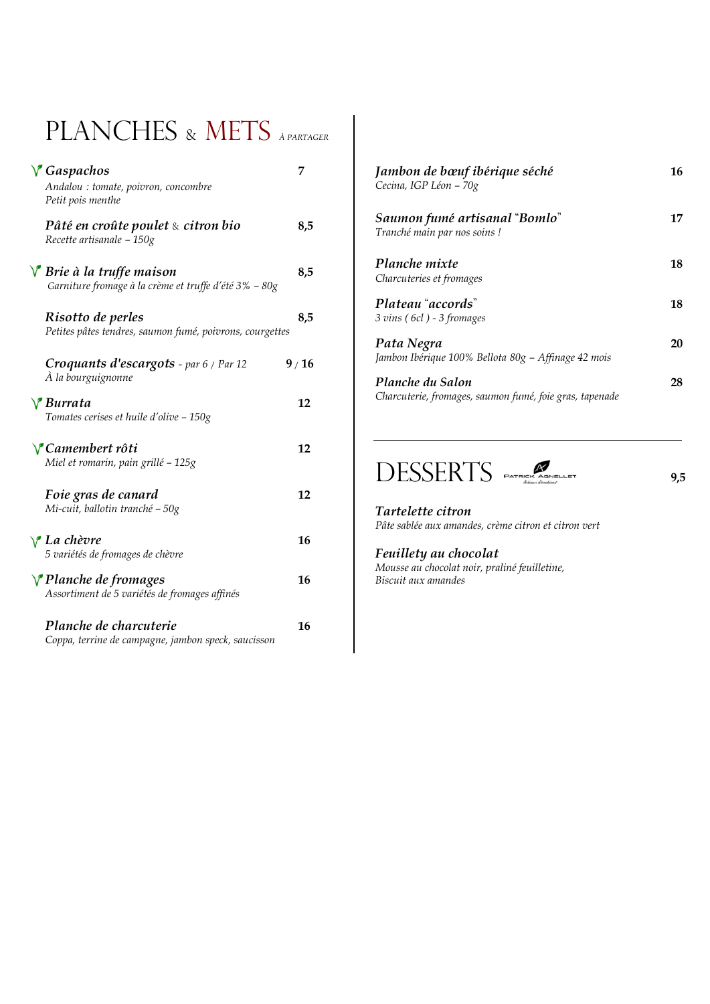## PLANCHES & METS *À PARTAGER*

| $\sqrt{G}$ Gaspachos<br>Andalou : tomate, poivron, concombre<br>Petit pois menthe            | 7    |
|----------------------------------------------------------------------------------------------|------|
| Pâté en croûte poulet & citron bio<br>Recette artisanale - 150g                              | 8,5  |
| $\sqrt{\ }$ Brie à la truffe maison<br>Garniture fromage à la crème et truffe d'été 3% - 80g | 8,5  |
| Risotto de perles<br>Petites pâtes tendres, saumon fumé, poivrons, courgettes                | 8,5  |
| Croquants d'escargots - par 6 / Par 12<br>À la bourguignonne                                 | 9/16 |
| $\sqrt{\ }$ Burrata<br>Tomates cerises et huile d'olive - 150g                               | 12   |
| <b>√ Camembert rôti</b><br>Miel et romarin, pain grillé - 125g                               | 12   |
| Foie gras de canard<br>Mi-cuit, ballotin tranché - 50g                                       | 12   |
| $\vee$ La chèvre<br>5 variétés de fromages de chèvre                                         | 16   |
| <i>Y</i> Planche de fromages<br>Assortiment de 5 variétés de fromages affinés                | 16   |
| Planche de charcuterie<br>Coppa, terrine de campagne, jambon speck, saucisson                | 16   |

| Jambon de bœuf ibérique séché<br>Cecina, IGP Léon - 70g                     | 16 |
|-----------------------------------------------------------------------------|----|
| Saumon fumé artisanal "Bomlo"<br>Tranché main par nos soins!                | 17 |
| <b>Planche</b> mixte<br>Charcuteries et fromages                            | 18 |
| Plateau "accords"<br>3 vins (6cl) - 3 fromages                              | 18 |
| Pata Negra<br>Jambon Ibérique 100% Bellota 80g – Affinage 42 mois           | 20 |
| Planche du Salon<br>Charcuterie, fromages, saumon fumé, foie gras, tapenade | 28 |



*Tartelette citron Pâte sablée aux amandes, crème citron et citron vert*

#### *Feuillety au chocolat*

*Mousse au chocolat noir, praliné feuilletine, Biscuit aux amandes*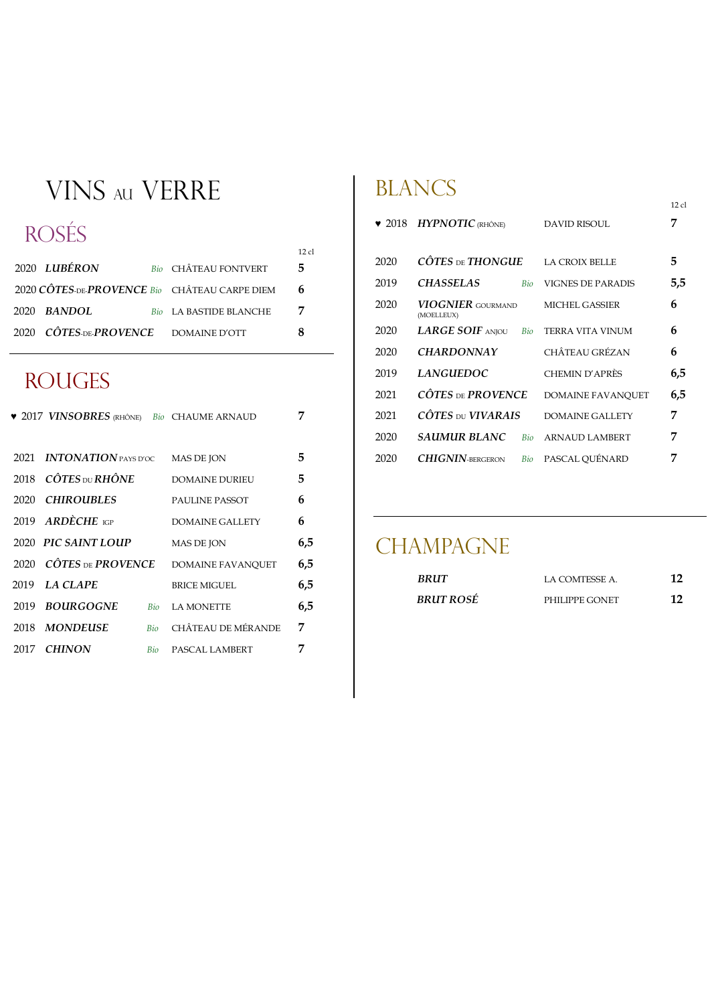## VINS au VERRE

### ROSÉS

|                                               |                               | 12 el |
|-----------------------------------------------|-------------------------------|-------|
| 2020 LUBÉRON                                  | <b>Bio CHÂTEAU FONTVERT</b>   | 5.    |
| 2020 CÔTES-DE-PROVENCE Bio CHÂTEAU CARPE DIEM |                               | 6     |
| $2020$ BANDOL                                 | <b>Bio</b> LA BASTIDE BLANCHE |       |
| 2020 CÔTES-DE-PROVENCE DOMAINE D'OTT          |                               |       |

#### **ROUGES**

| <b>v</b> 2017 VINSOBRES (RHÔNE) Bio CHAUME ARNAUD |                          | 7   |
|---------------------------------------------------|--------------------------|-----|
|                                                   |                          |     |
| <b>INTONATION</b> PAYS D'OC<br>2021.              | <b>MAS DE JON</b>        | 5   |
| 2018 $\widehat{C}$ OTES DU RHÔNE                  | DOMAINE DURIEU           | 5   |
| <b>CHIROUBLES</b><br>2020.                        | <b>PAULINE PASSOT</b>    | 6   |
| 2019 ARDÈCHE IGP                                  | DOMAINE GALLETY          | 6   |
| 2020 PIC SAINT LOUP                               | <b>MAS DE JON</b>        | 6,5 |
| 2020 CÔTES DE PROVENCE                            | <b>DOMAINE FAVANOUET</b> | 6,5 |
| <b>LA CLAPE</b><br>2019.                          | <b>BRICE MIGUEL</b>      | 6,5 |
| <b>BOURGOGNE</b><br>2019<br><b>Bio</b>            | <b>LA MONETTE</b>        | 6,5 |
| MONDEUSE<br>2018.<br>Bio                          | CHÂTEAU DE MÉRANDE       | 7   |
| <b>CHINON</b><br>2017<br>Bio                      | PASCAL LAMBERT           | 7   |

#### BLANCS

| $\bullet$ 2018 | <b>HYPNOTIC</b> (RHÔNE)                |            | DAVID RISOUL             | 7   |
|----------------|----------------------------------------|------------|--------------------------|-----|
| 2020           | CÔTES DE THONGUE                       |            | <b>LA CROIX BELLE</b>    | 5   |
| 2019           | <b>CHASSELAS</b>                       | Bio        | <b>VIGNES DE PARADIS</b> | 5,5 |
| 2020           | <b>VIOGNIER</b> GOURMAND<br>(MOELLEUX) |            | MICHEL GASSIER           | 6   |
| 2020           | $LARGE$ soif aniou                     | Bio        | TERRA VITA VINUM         | 6   |
| 2020           | <b>CHARDONNAY</b>                      |            | CHÂTEAU GRÉZAN           | 6   |
| 2019           | <i><b>LANGUEDOC</b></i>                |            | CHEMIN D'APRÈS           | 6,5 |
| 2021           | $C\hat{O}TES$ DE $PROVENCE$            |            | <b>DOMAINE FAVANOUET</b> | 6,5 |
| 2021           | CÔTES DU VIVARAIS                      |            | <b>DOMAINE GALLETY</b>   | 7   |
| 2020           | SAUMUR BLANC                           | <b>Bio</b> | <b>ARNAUD LAMBERT</b>    | 7   |
| 2020           | $CHIGNIN$ -BERGERON                    | Bio        | PASCAL OUÉNARD           |     |

12 cl

#### **CHAMPAGNE**

| <b>BRUT</b>      | LA COMTESSE A. | 12 |
|------------------|----------------|----|
| <b>BRUT ROSÉ</b> | PHILIPPE GONET | 12 |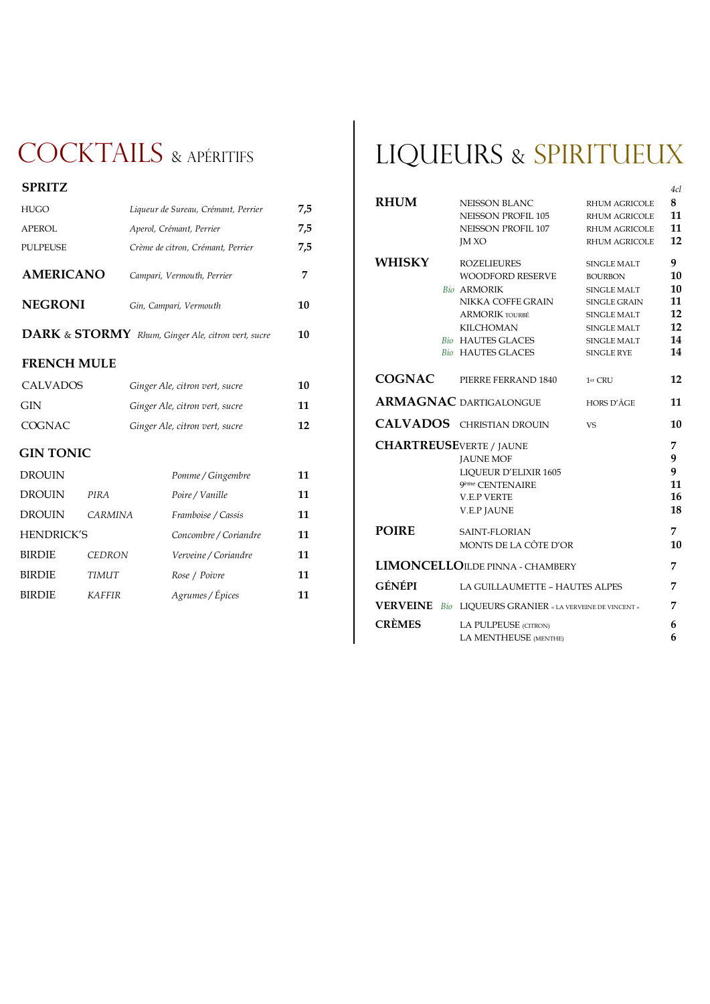## COCKTAILS & APÉRITIES

| <b>SPRITZ</b>    |                                     |     |
|------------------|-------------------------------------|-----|
| HUGO             | Liqueur de Sureau, Crémant, Perrier | 7,5 |
| APEROL           | Aperol, Crémant, Perrier            | 7,5 |
| <b>PULPEUSE</b>  | Crème de citron, Crémant, Perrier   | 7,5 |
| <b>AMERICANO</b> | Campari, Vermouth, Perrier          |     |
| <b>NEGRONI</b>   | Gin, Campari, Vermouth              | 10  |
|                  |                                     |     |

 **DARK** & **STORMY** *Rhum, Ginger Ale, citron vert, sucre* **10**

#### **FRENCH MULE**

| <b>CALVADOS</b> | Ginger Ale, citron vert, sucre | 10 |
|-----------------|--------------------------------|----|
| <b>GIN</b>      | Ginger Ale, citron vert, sucre | 11 |
| COGNAC          | Ginger Ale, citron vert, sucre | 12 |
|                 |                                |    |

#### **GIN TONIC**

| <b>DROUIN</b>     |                | Pomme / Gingembre     | 11 |
|-------------------|----------------|-----------------------|----|
| <b>DROUIN</b>     | PIRA           | Poire / Vanille       | 11 |
| <b>DROUIN</b>     | <b>CARMINA</b> | Framboise / Cassis    | 11 |
| <b>HENDRICK'S</b> |                | Concombre / Coriandre | 11 |
| <b>BIRDIE</b>     | <b>CEDRON</b>  | Verveine / Coriandre  | 11 |
| <b>BIRDIE</b>     | <b>TIMUT</b>   | Rose / Poivre         | 11 |
| <b>BIRDIE</b>     | <b>KAFFIR</b>  | Agrumes / Épices      | 11 |

## LIQUEURS & SPIRITUEUX

|                                 |                                                 |                      | 4cl |
|---------------------------------|-------------------------------------------------|----------------------|-----|
| <b>RHUM</b>                     | <b>NEISSON BLANC</b>                            | <b>RHUM AGRICOLE</b> | 8   |
|                                 | <b>NEISSON PROFIL 105</b>                       | <b>RHUM AGRICOLE</b> | 11  |
|                                 | NEISSON PROFIL 107                              | <b>RHUM AGRICOLE</b> | 11  |
|                                 | <b>IMXO</b>                                     | <b>RHUM AGRICOLE</b> | 12  |
| WHISKY                          | <b>ROZELIEURES</b>                              | <b>SINGLE MALT</b>   | 9   |
|                                 | <b>WOODFORD RESERVE</b>                         | <b>BOURBON</b>       | 10  |
|                                 | <b>Bio ARMORIK</b>                              | <b>SINGLE MALT</b>   | 10  |
|                                 | NIKKA COFFE GRAIN                               | <b>SINGLE GRAIN</b>  | 11  |
|                                 | <b>ARMORIK TOURBÉ</b>                           | <b>SINGLE MALT</b>   | 12  |
|                                 | <b>KILCHOMAN</b>                                | <b>SINGLE MALT</b>   | 12  |
|                                 | <b>Bio HAUTES GLACES</b>                        | <b>SINGLE MALT</b>   | 14  |
|                                 | <b>Bio</b> HAUTES GLACES                        | <b>SINGLE RYE</b>    | 14  |
| <b>COGNAC</b>                   | PIERRE FERRAND 1840                             | 1er CRU              | 12  |
|                                 | <b>ARMAGNAC DARTIGALONGUE</b>                   | HORS D'ÂGE           | 11  |
|                                 | <b>CALVADOS</b> CHRISTIAN DROUIN                | <b>VS</b>            | 10  |
| <b>CHARTREUSE</b> VERTE / JAUNE |                                                 |                      | 7   |
|                                 | <b>JAUNE MOF</b>                                |                      | 9   |
|                                 | LIQUEUR D'ELIXIR 1605                           |                      | 9   |
|                                 | 9ème CENTENAIRE                                 |                      | 11  |
|                                 | <b>V.E.P VERTE</b>                              |                      | 16  |
|                                 | <b>V.E.P JAUNE</b>                              |                      | 18  |
| <b>POIRE</b>                    | <b>SAINT-FLORIAN</b>                            |                      | 7   |
|                                 | MONTS DE LA CÔTE D'OR                           |                      | 10  |
|                                 | <b>LIMONCELLOILDE PINNA - CHAMBERY</b>          |                      | 7   |
| GÉNÉPI                          | LA GUILLAUMETTE - HAUTES ALPES                  |                      | 7   |
| <b>VERVEINE</b>                 | Bio LIQUEURS GRANIER « LA VERVEINE DE VINCENT » |                      | 7   |
| <b>CRÈMES</b>                   | LA PULPEUSE (CITRON)                            |                      | 6   |
|                                 | LA MENTHEUSE (MENTHE)                           |                      | 6   |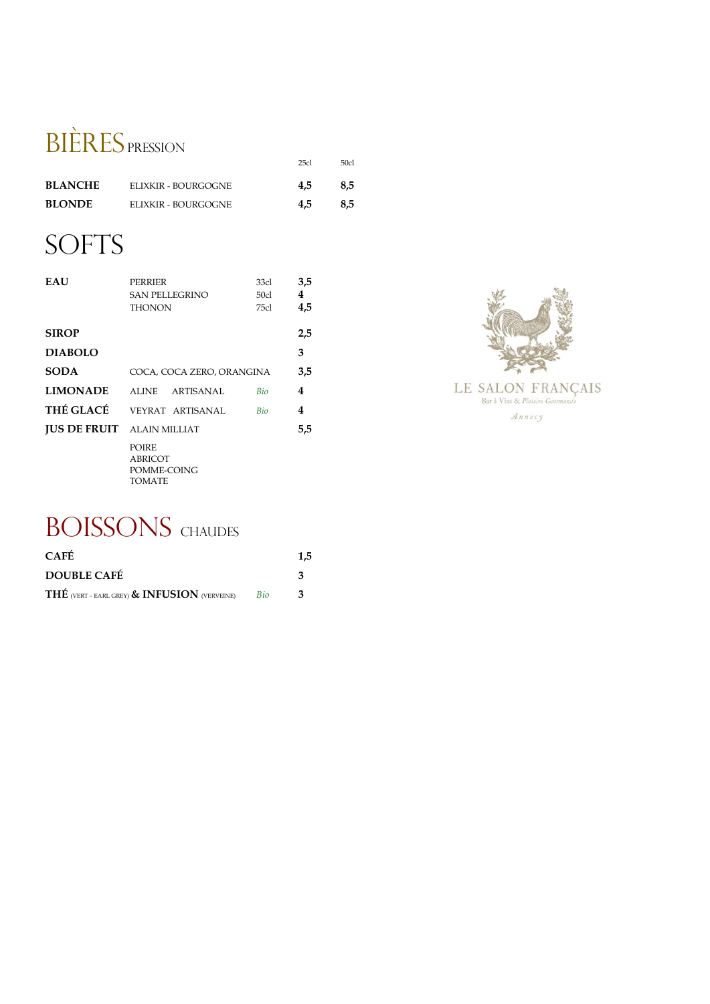## BIÈRES PRESSION

|                |                     | 25c1 | 50cl |
|----------------|---------------------|------|------|
| <b>BLANCHE</b> | ELIXKIR - BOURGOGNE | 4.5  | 8.5  |
| <b>BLONDE</b>  | ELIXKIR - BOURGOGNE | 4.5  | 8.5  |

## **SOFTS**

| <b>EAU</b>                        | <b>PERRIER</b><br><b>SAN PELLEGRINO</b><br><b>THONON</b>       | 33cl<br>50cl<br>75cl | 3,5<br>4<br>4,5 |
|-----------------------------------|----------------------------------------------------------------|----------------------|-----------------|
| <b>SIROP</b>                      |                                                                |                      | 2,5             |
| <b>DIABOLO</b>                    |                                                                |                      | 3               |
| <b>SODA</b>                       | COCA, COCA ZERO, ORANGINA                                      |                      | 3,5             |
| <b>LIMONADE</b>                   | ALINE ARTISANAL                                                | <b>Bio</b>           | 4               |
| <b>THÉ GLACÉ</b>                  | VEYRAT ARTISANAL                                               | Bio                  | 4               |
| <b>JUS DE FRUIT</b> ALAIN MILLIAT |                                                                |                      | 5,5             |
|                                   | <b>POIRE</b><br><b>ABRICOT</b><br>POMME-COING<br><b>TOMATE</b> |                      |                 |



## **BOISSONS** CHAUDES

| <b>CAFÉ</b>                                  |            | 1.5 |
|----------------------------------------------|------------|-----|
| <b>DOUBLE CAFÉ</b>                           |            |     |
| THÉ (VERT - EARL GREY) & INFUSION (VERVEINE) | <b>Bio</b> |     |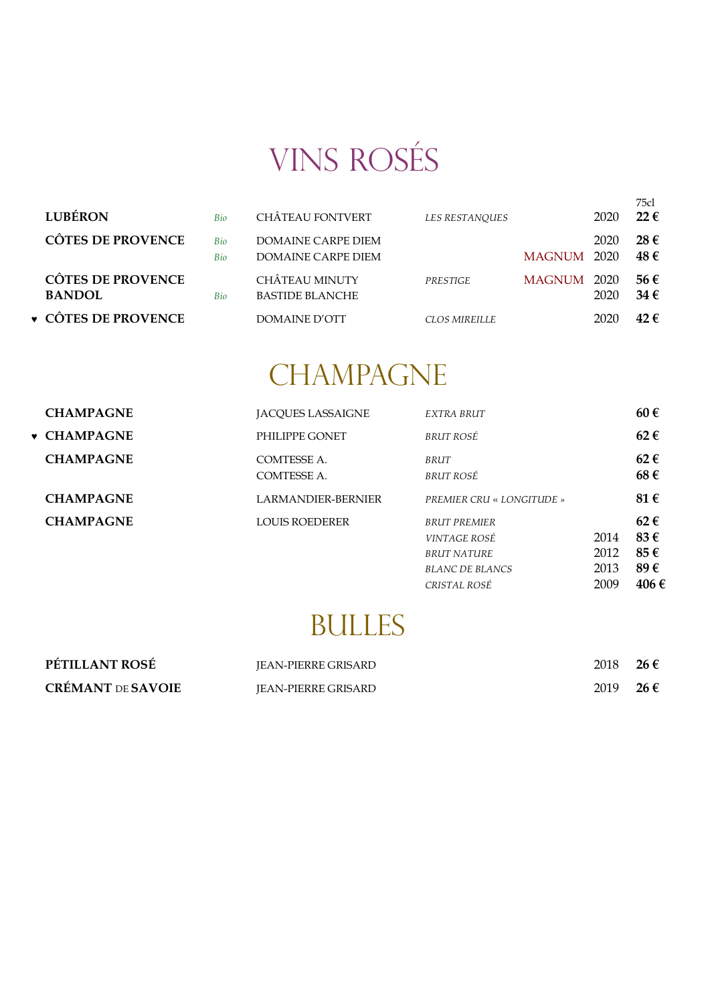# VINS ROSÉS

| <b>LUBÉRON</b>                            | Bio                      | <b>CHÂTEAU FONTVERT</b>                         | <b>LES RESTANOUES</b> |             | 2020 | 75cl<br>$22 \in$      |
|-------------------------------------------|--------------------------|-------------------------------------------------|-----------------------|-------------|------|-----------------------|
| <b>CÔTES DE PROVENCE</b>                  | <b>Bio</b><br><b>Bio</b> | DOMAINE CARPE DIEM<br>DOMAINE CARPE DIEM        |                       | MAGNUM 2020 | 2020 | $28 \in$<br>48€       |
| <b>CÔTES DE PROVENCE</b><br><b>BANDOL</b> | <b>Bio</b>               | <b>CHÂTEAU MINUTY</b><br><b>BASTIDE BLANCHE</b> | <b>PRESTIGE</b>       | MAGNUM 2020 | 2020 | 56 €<br>34 $\epsilon$ |
| ▼ CÔTES DE PROVENCE                       |                          | DOMAINE D'OTT                                   | CLOS MIREILLE         |             | 2020 | 42f                   |

## **CHAMPAGNE**

| <b>CHAMPAGNE</b>   | <b>IACOUES LASSAIGNE</b>          | <b>EXTRA BRUT</b>                          |      | 60€             |
|--------------------|-----------------------------------|--------------------------------------------|------|-----------------|
| <b>v</b> CHAMPAGNE | PHILIPPE GONET                    | BRUT ROSÉ                                  |      | $62 \in$        |
| <b>CHAMPAGNE</b>   | COMTESSE A.<br><b>COMTESSE A.</b> | BRUT<br>BRUT ROSÉ                          |      | $62 \in$<br>68€ |
| <b>CHAMPAGNE</b>   | <b>LARMANDIER-BERNIER</b>         | <b>PREMIER CRU « LONGITUDE »</b>           |      | 81 €            |
| <b>CHAMPAGNE</b>   | LOUIS ROEDERER                    | <b>BRUT PREMIER</b><br><i>VINTAGE ROSÉ</i> | 2014 | $62 \in$<br>83€ |
|                    |                                   | <b>BRUT NATURE</b>                         | 2012 | 85€             |
|                    |                                   | <b>BLANC DE BLANCS</b>                     | 2013 | 89€             |

## BULLES

*CRISTAL ROSÉ* 2009 **406 €**

| PÉTILLANT ROSÉ           | <b>IEAN-PIERRE GRISARD</b> | 2018 | 26 $\epsilon$ |
|--------------------------|----------------------------|------|---------------|
| <b>CRÉMANT DE SAVOIE</b> | <b>IEAN-PIERRE GRISARD</b> | 2019 | 26 €          |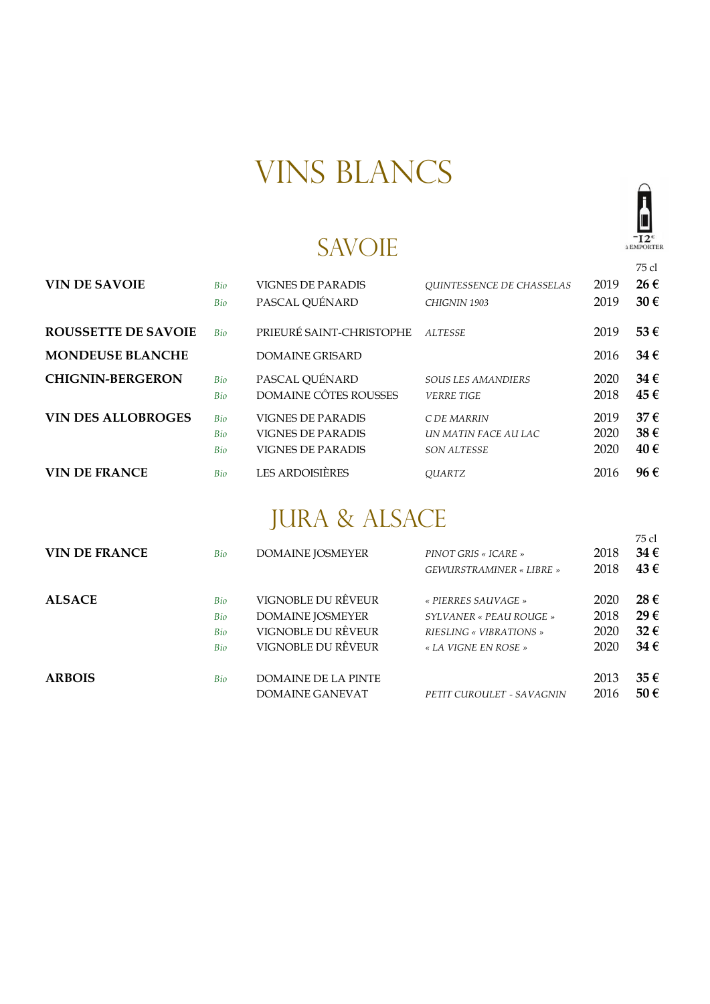## VINS BLANCS

#### SAVOIE

75 cl

 $-\overline{I2}^{\epsilon}$ <br>à EMPORTER

| <b>VIN DE SAVOIE</b>       | Bio | <b>VIGNES DE PARADIS</b>     | <b>OUINTESSENCE DE CHASSELAS</b> | 2019 | 26€      |
|----------------------------|-----|------------------------------|----------------------------------|------|----------|
|                            | Bio | PASCAL QUÉNARD               | CHIGNIN 1903                     | 2019 | $30 \in$ |
| <b>ROUSSETTE DE SAVOIE</b> | Bio | PRIEURÉ SAINT-CHRISTOPHE     | <b>ALTESSE</b>                   | 2019 | 53€      |
| <b>MONDEUSE BLANCHE</b>    |     | <b>DOMAINE GRISARD</b>       |                                  | 2016 | $34 \in$ |
| <b>CHIGNIN-BERGERON</b>    | Bio | PASCAL QUÉNARD               | <b>SOUS LES AMANDIERS</b>        | 2020 | $34 \in$ |
|                            | Bio | <b>DOMAINE CÔTES ROUSSES</b> | <b>VERRE TIGE</b>                | 2018 | 45€      |
| <b>VIN DES ALLOBROGES</b>  | Bio | <b>VIGNES DE PARADIS</b>     | C DE MARRIN                      | 2019 | $37 \in$ |
|                            | Bio | <b>VIGNES DE PARADIS</b>     | UN MATIN FACE AU LAC             | 2020 | 38€      |
|                            | Bio | VIGNES DE PARADIS            | <b>SON ALTESSE</b>               | 2020 | 40€      |
| <b>VIN DE FRANCE</b>       | Bio | <b>LES ARDOISIÈRES</b>       | <b>OUARTZ</b>                    | 2016 | 96€      |

### JURA & ALSACE

| <b>VIN DE FRANCE</b> | Bio                      | <b>DOMAINE JOSMEYER</b>                                                                   | PINOT GRIS « ICARE »<br>GEWURSTRAMINER « LIBRE »                                                  | 2018<br>2018                 | 75 cl<br>34€<br>43€                |
|----------------------|--------------------------|-------------------------------------------------------------------------------------------|---------------------------------------------------------------------------------------------------|------------------------------|------------------------------------|
| <b>ALSACE</b>        | Bio<br>Bio<br>Bio<br>Bio | VIGNOBLE DU RÊVEUR<br><b>DOMAINE JOSMEYER</b><br>VIGNOBLE DU RÊVEUR<br>VIGNOBLE DU RÊVEUR | « PIERRES SAUVAGE »<br>SYLVANER « PEAU ROUGE »<br>RIESLING « VIBRATIONS »<br>« LA VIGNE EN ROSE » | 2020<br>2018<br>2020<br>2020 | $28 \in$<br>29€<br>32€<br>$34 \in$ |
| <b>ARBOIS</b>        | Bio                      | DOMAINE DE LA PINTE<br>DOMAINE GANEVAT                                                    | PETIT CUROULET - SAVAGNIN                                                                         | 2013<br>2016                 | 35€<br>50€                         |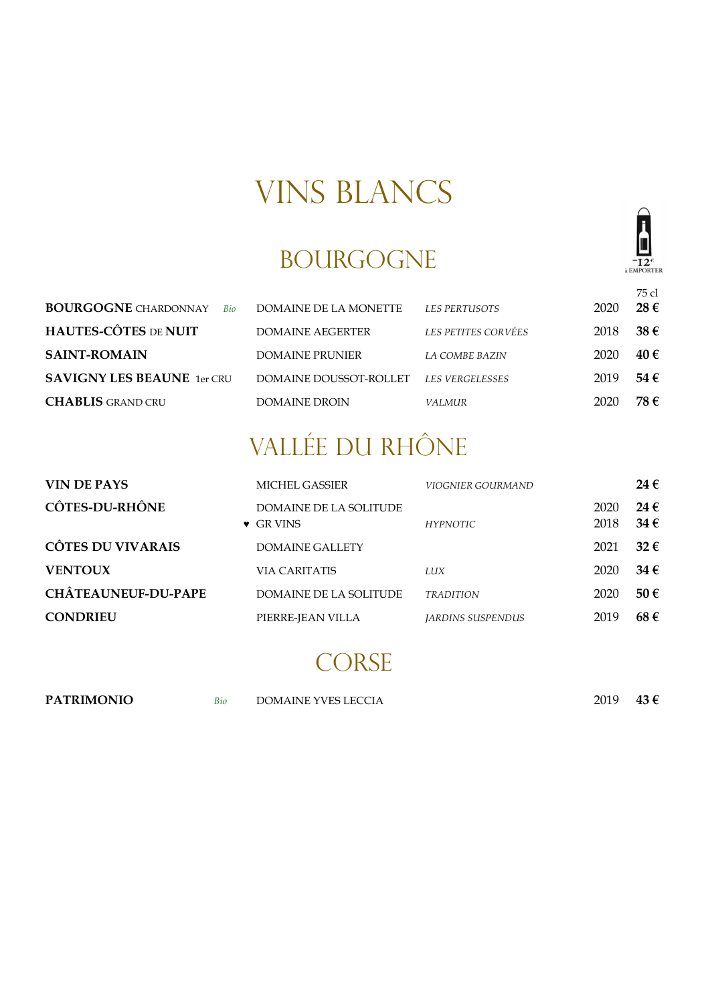## VINS BLANCS

#### BOURGOGNE

|                                    |                         |                        |      | 75 cl             |
|------------------------------------|-------------------------|------------------------|------|-------------------|
| <b>BOURGOGNE</b> CHARDONNAY<br>Bio | DOMAINE DE LA MONETTE   | <b>LES PERTUSOTS</b>   | 2020 | $28 \in$          |
| <b>HAUTES-CÔTES DE NUIT</b>        | <b>DOMAINE AEGERTER</b> | LES PETITES CORVÉES    | 2018 | $38 \text{ } \in$ |
| <b>SAINT-ROMAIN</b>                | DOMAINE PRUNIER         | <b>LA COMBE BAZIN</b>  | 2020 | 40€               |
| <b>SAVIGNY LES BEAUNE</b> 1er CRU  | DOMAINE DOUSSOT-ROLLET  | <b>LES VERGELESSES</b> | 2019 | 54€               |
| <b>CHABLIS</b> GRAND CRU           | <b>DOMAINE DROIN</b>    | VALMUR                 | 2020 | 78 €              |

## VALLÉE DU RHÔNE

| VIN DE PAYS                | <b>MICHEL GASSIER</b>                              | VIOGNIER GOURMAND               |              | 24 $\epsilon$             |
|----------------------------|----------------------------------------------------|---------------------------------|--------------|---------------------------|
| <b>CÔTES-DU-RHÔNE</b>      | <b>DOMAINE DE LA SOLITUDE</b><br>$\bullet$ GR VINS | <b>HYPNOTIC</b>                 | 2020<br>2018 | 24 $\epsilon$<br>$34 \in$ |
| <b>CÔTES DU VIVARAIS</b>   | DOMAINE GALLETY                                    |                                 | 2021         | $32 \in$                  |
| <b>VENTOUX</b>             | VIA CARITATIS                                      | LUX                             | 2020         | 34 $\epsilon$             |
| <b>CHÂTEAUNEUF-DU-PAPE</b> | DOMAINE DE LA SOLITUDE                             | <b>TRADITION</b>                | 2020         | $50 \in$                  |
| <b>CONDRIEU</b>            | PIERRE-JEAN VILLA                                  | <i><b>IARDINS SUSPENDUS</b></i> | 2019         | 68€                       |
|                            |                                                    |                                 |              |                           |

#### **CORSE**

| <b>PATRIMONIO</b> | Bio | <b>DOMAINE YVES LECCIA</b> | 2019 | 43 $\epsilon$ |
|-------------------|-----|----------------------------|------|---------------|
|                   |     |                            |      |               |

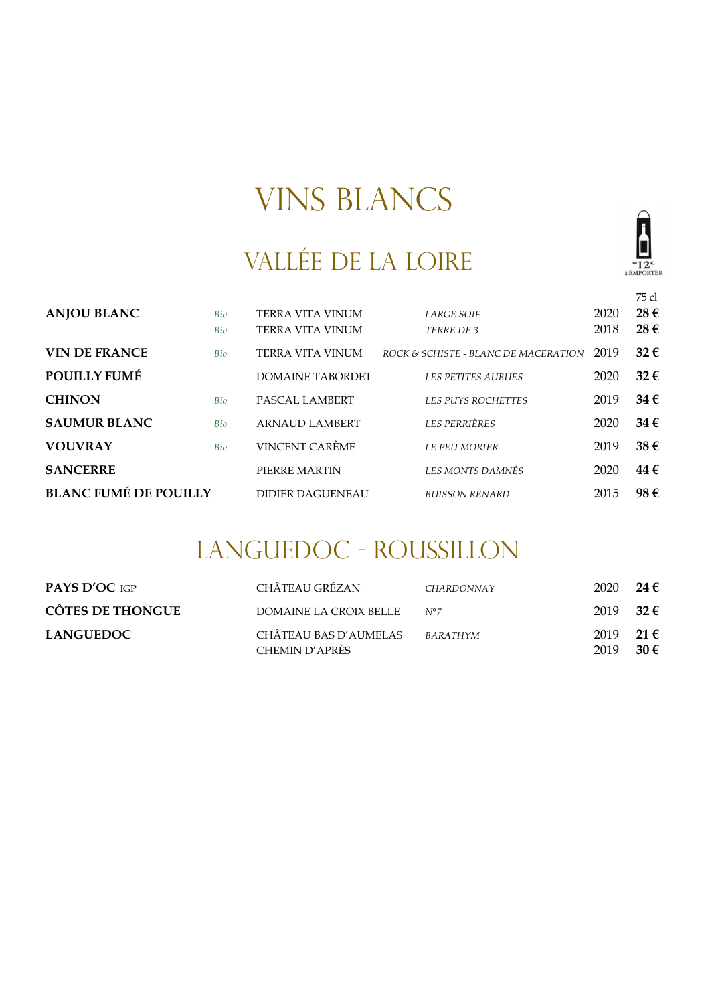## VINS BLANCS

## VALLÉE DE LA LOIRE



75 cl

| <b>ANJOU BLANC</b>           | Bio<br>Bio | <b>TERRA VITA VINUM</b><br><b>TERRA VITA VINUM</b> | <b>LARGE SOIF</b><br>TERRE DE 3      | 2020<br>2018 | 28€<br>28€ |
|------------------------------|------------|----------------------------------------------------|--------------------------------------|--------------|------------|
| <b>VIN DE FRANCE</b>         | Bio        | TERRA VITA VINUM                                   | ROCK & SCHISTE - BLANC DE MACERATION | 2019         | 32€        |
| POUILLY FUMÉ                 |            | DOMAINE TABORDET                                   | <b>LES PETITES AUBUES</b>            | 2020         | $32 \in$   |
| <b>CHINON</b>                | Bio        | PASCAL LAMBERT                                     | <b>LES PUYS ROCHETTES</b>            | 2019         | 34€        |
| <b>SAUMUR BLANC</b>          | Bio        | <b>ARNAUD LAMBERT</b>                              | <b>LES PERRIÈRES</b>                 | 2020         | 34€        |
| <b>VOUVRAY</b>               | Bio        | VINCENT CARÊME                                     | <b>LE PEU MORIER</b>                 | 2019         | 38€        |
| <b>SANCERRE</b>              |            | PIERRE MARTIN                                      | <b>LES MONTS DAMNÉS</b>              | 2020         | 44€        |
| <b>BLANC FUMÉ DE POUILLY</b> |            | <b>DIDIER DAGUENEAU</b>                            | <b>BUISSON RENARD</b>                | 2015         | 98€        |

### LANGUEDOC - ROUSSILLON

| <b>PAYS D'OC IGP</b>    | CHÂTEAU GRÉZAN                          | CHARDONNAY    | 2020         | 24 €             |
|-------------------------|-----------------------------------------|---------------|--------------|------------------|
| <b>CÔTES DE THONGUE</b> | DOMAINE LA CROIX BELLE                  | $N^{\circ}$ 7 | 2019         | $-32 \epsilon$   |
| <b>LANGUEDOC</b>        | CHÂTEAU BAS D'AUMELAS<br>CHEMIN D'APRÈS | BARATHYM      | 2019<br>2019 | 21 €<br>$30 \in$ |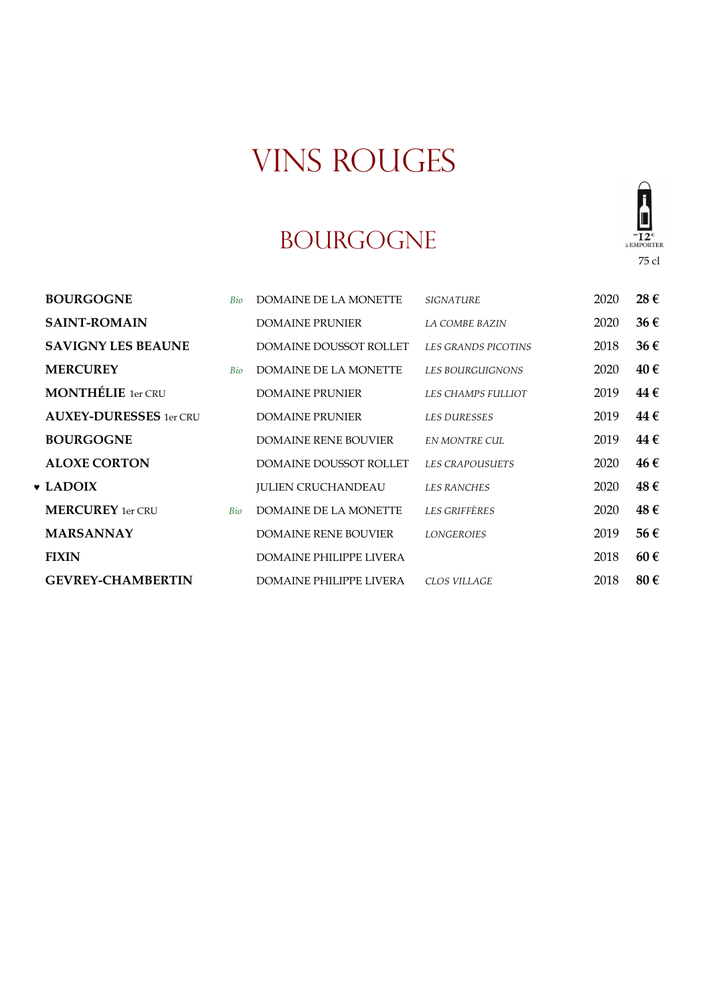#### BOURGOGNE



| <b>SAINT-ROMAIN</b>           |     | <b>DOMAINE PRUNIER</b>         | LA COMBE BAZIN         | 2020 | 36€      |
|-------------------------------|-----|--------------------------------|------------------------|------|----------|
| <b>SAVIGNY LES BEAUNE</b>     |     | <b>DOMAINE DOUSSOT ROLLET</b>  | LES GRANDS PICOTINS    | 2018 | 36€      |
| <b>MERCUREY</b>               | Bio | DOMAINE DE LA MONETTE          | LES BOURGUIGNONS       | 2020 | 40€      |
| <b>MONTHÉLIE</b> 1er CRU      |     | <b>DOMAINE PRUNIER</b>         | LES CHAMPS FULLIOT     | 2019 | 44 €     |
| <b>AUXEY-DURESSES</b> 1er CRU |     | <b>DOMAINE PRUNIER</b>         | <b>LES DURESSES</b>    | 2019 | 44 €     |
| <b>BOURGOGNE</b>              |     | <b>DOMAINE RENE BOUVIER</b>    | EN MONTRE CUL          | 2019 | 44 €     |
| <b>ALOXE CORTON</b>           |     | <b>DOMAINE DOUSSOT ROLLET</b>  | <b>LES CRAPOUSUETS</b> | 2020 | 46€      |
| $\bullet$ LADOIX              |     | <b>JULIEN CRUCHANDEAU</b>      | <b>LES RANCHES</b>     | 2020 | 48€      |
| <b>MERCUREY</b> 1er CRU       | Bio | <b>DOMAINE DE LA MONETTE</b>   | <b>LES GRIFFÈRES</b>   | 2020 | 48€      |
| <b>MARSANNAY</b>              |     | <b>DOMAINE RENE BOUVIER</b>    | <b>LONGEROIES</b>      | 2019 | 56€      |
| <b>FIXIN</b>                  |     | <b>DOMAINE PHILIPPE LIVERA</b> |                        | 2018 | $60 \in$ |
| <b>GEVREY-CHAMBERTIN</b>      |     | DOMAINE PHILIPPE LIVERA        | <b>CLOS VILLAGE</b>    | 2018 | 80€      |

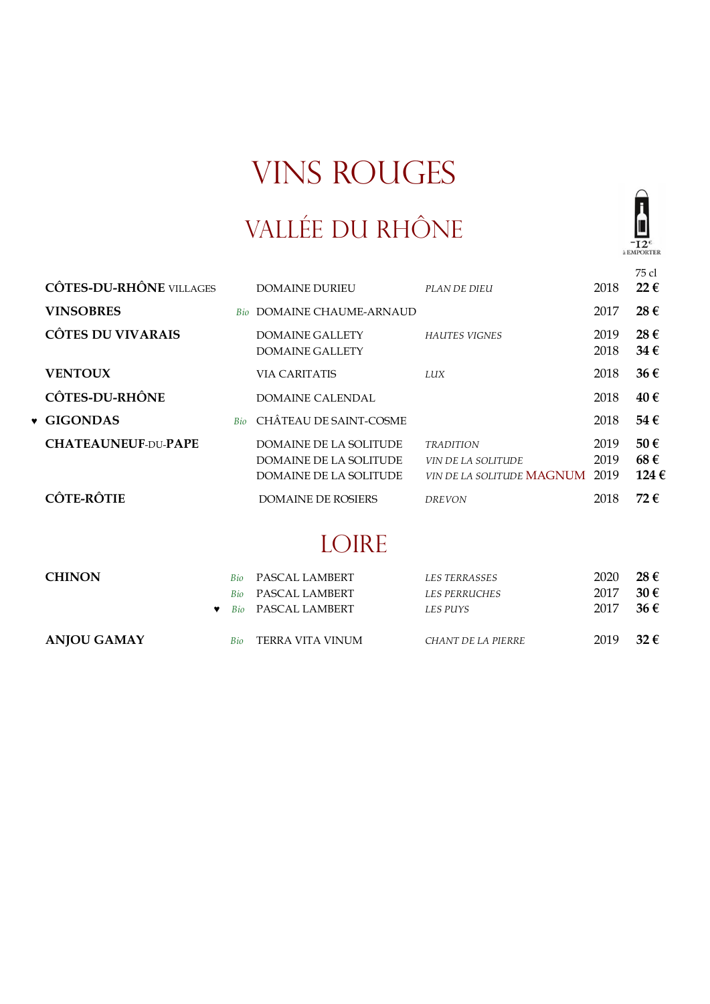## VALLÉE DU RHÔNE



|           |                                |            |                                                                                   |                                                                                   |                      | 75 cl                             |
|-----------|--------------------------------|------------|-----------------------------------------------------------------------------------|-----------------------------------------------------------------------------------|----------------------|-----------------------------------|
|           | <b>CÔTES-DU-RHÔNE VILLAGES</b> |            | DOMAINE DURIEU                                                                    | PLAN DE DIEU                                                                      | 2018                 | $22 \in$                          |
|           | <b>VINSOBRES</b>               | <b>Bio</b> | DOMAINE CHAUME-ARNAUD                                                             |                                                                                   | 2017                 | $28 \in$                          |
|           | <b>CÔTES DU VIVARAIS</b>       |            | DOMAINE GALLETY<br>DOMAINE GALLETY                                                | <b>HAUTES VIGNES</b>                                                              | 2019<br>2018         | $28 \in$<br>34 $\epsilon$         |
|           | <b>VENTOUX</b>                 |            | <b>VIA CARITATIS</b>                                                              | <b>LUX</b>                                                                        | 2018                 | $36 \in$                          |
|           | <b>CÔTES-DU-RHÔNE</b>          |            | DOMAINE CALENDAL                                                                  |                                                                                   | 2018                 | 40€                               |
| $\bullet$ | <b>GIGONDAS</b>                | <b>Bio</b> | CHÂTEAU DE SAINT-COSME                                                            |                                                                                   | 2018                 | 54€                               |
|           | <b>CHATEAUNEUF-DU-PAPE</b>     |            | <b>DOMAINE DE LA SOLITUDE</b><br>DOMAINE DE LA SOLITUDE<br>DOMAINE DE LA SOLITUDE | <b>TRADITION</b><br><i>VIN DE LA SOLITUDE</i><br>VIN DE LA SOLITUDE <b>MAGNUM</b> | 2019<br>2019<br>2019 | $50 \in$<br>68€<br>124 $\epsilon$ |
|           | <b>CÔTE-RÔTIE</b>              |            | DOMAINE DE ROSIERS                                                                | <b>DREVON</b>                                                                     | 2018                 | 72 €                              |

## LOIRE

| <b>CHINON</b> |     | <b>Bio</b> PASCAL LAMBERT<br><b>Bio</b> PASCAL LAMBERT<br>Bio PASCAL LAMBERT | LES TERRASSES<br><i>LES PERRUCHES</i><br>LES PUYS | 2020<br>2017<br>2017 | $28 \in$<br>$30 \in$<br>$36 \in$ |
|---------------|-----|------------------------------------------------------------------------------|---------------------------------------------------|----------------------|----------------------------------|
| ANJOU GAMAY   | Bio | TERRA VITA VINUM                                                             | CHANT DE LA PIERRE                                | 2019                 | 32 $\epsilon$                    |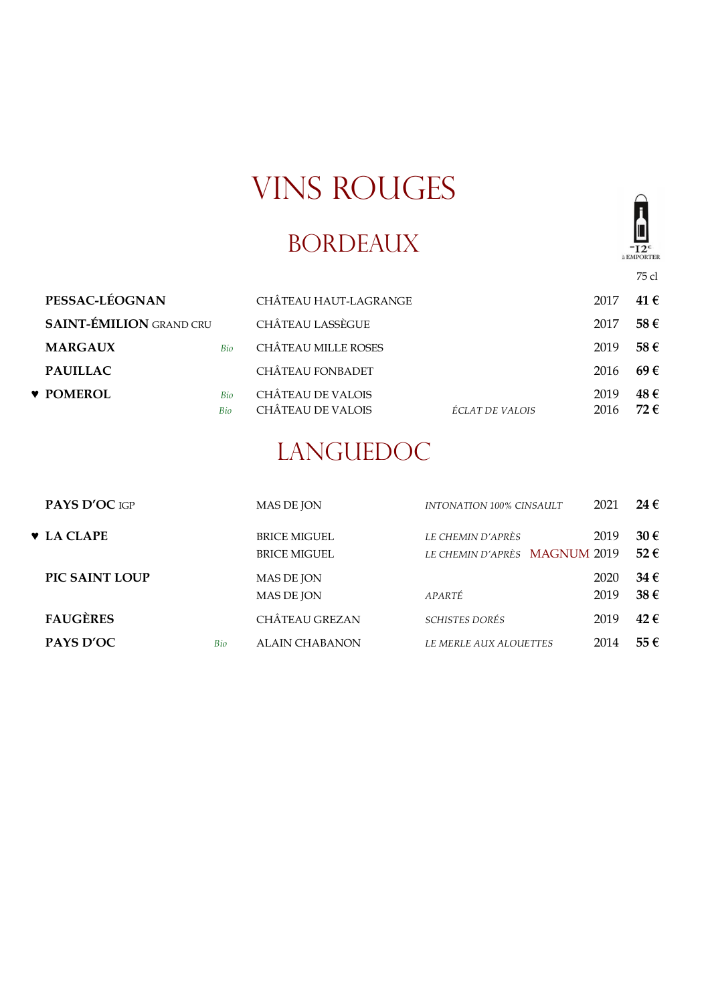## BORDEAUX



75 cl

| PESSAC-LÉOGNAN                 |            | CHÂTEAU HAUT-LAGRANGE                                |                 | 2017         | 41 €                 |
|--------------------------------|------------|------------------------------------------------------|-----------------|--------------|----------------------|
| <b>SAINT-ÉMILION GRAND CRU</b> |            | CHÂTEAU LASSÈGUE                                     |                 | 2017         | 58€                  |
| <b>MARGAUX</b>                 | Bio        | <b>CHÂTEAU MILLE ROSES</b>                           |                 | 2019         | 58€                  |
| <b>PAUILLAC</b>                |            | <b>CHÂTEAU FONBADET</b>                              |                 | 2016         | 69E                  |
| <b>v</b> POMEROL               | Bio<br>Bio | <b>CHÂTEAU DE VALOIS</b><br><b>CHÂTEAU DE VALOIS</b> | ÉCLAT DE VALOIS | 2019<br>2016 | 48€<br>72 $\epsilon$ |

### LANGUEDOC

| PAYS D'OC IGP                  |            | <b>MAS DE JON</b>                          | INTONATION 100% CINSAULT                           | 2021         | 24 €                 |
|--------------------------------|------------|--------------------------------------------|----------------------------------------------------|--------------|----------------------|
| $\blacktriangleright$ LA CLAPE |            | <b>BRICE MIGUEL</b><br><b>BRICE MIGUEL</b> | LE CHEMIN D'APRÈS<br>LE CHEMIN D'APRÈS MAGNUM 2019 | 2019         | $30 \in$<br>$52 \in$ |
| PIC SAINT LOUP                 |            | MAS DE JON<br><b>MAS DE JON</b>            | APARTÉ                                             | 2020<br>2019 | $34 \in$<br>38€      |
| <b>FAUGÈRES</b>                |            | <b>CHÂTEAU GREZAN</b>                      | <i>SCHISTES DORÉS</i>                              | 2019         | $42 \in$             |
| PAYS D'OC                      | <b>Bio</b> | ALAIN CHABANON                             | <i>LE MERLE AUX ALOUETTES</i>                      | 2014         | 55€                  |